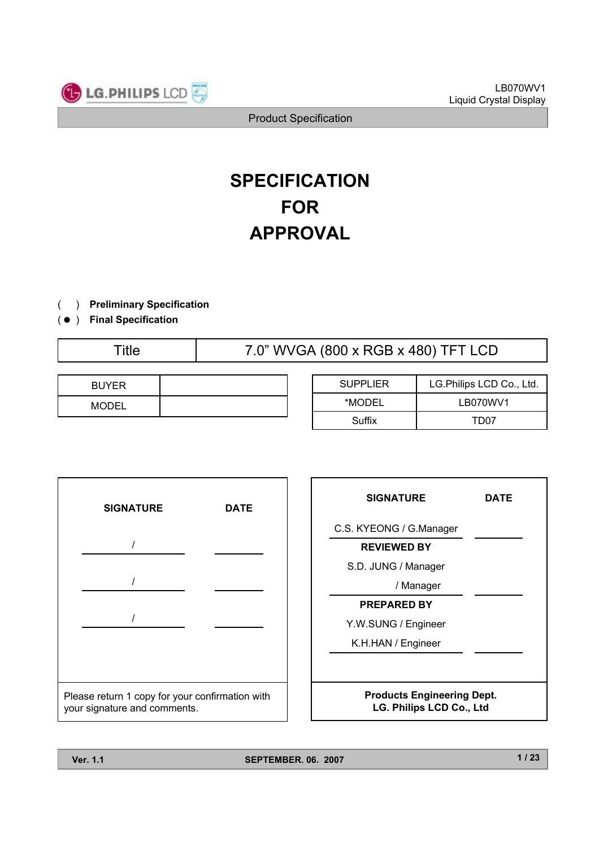

# **SPECIFICATION FOR APPROVAL**

- ) **Preliminary Specification**(
- ) ( **Final Specification**

Title 7.0" WVGA (800 x RGB x 480) TFT LCD

| <b>BUYER</b> |  |
|--------------|--|
| <b>MODEL</b> |  |

| <b>SUPPLIER</b> | LG.Philips LCD Co., Ltd. |  |  |
|-----------------|--------------------------|--|--|
| *MODEL          | LB070WV1                 |  |  |
| Suffix          | TD07                     |  |  |



| <b>SIGNATURE</b>                                              | DATE |  |  |  |
|---------------------------------------------------------------|------|--|--|--|
| C.S. KYEONG / G.Manager                                       |      |  |  |  |
| <b>REVIEWED BY</b>                                            |      |  |  |  |
| S.D. JUNG / Manager                                           |      |  |  |  |
| / Manager                                                     |      |  |  |  |
| <b>PREPARED BY</b>                                            |      |  |  |  |
| Y.W.SUNG / Engineer                                           |      |  |  |  |
| K.H.HAN / Engineer                                            |      |  |  |  |
|                                                               |      |  |  |  |
| <b>Products Engineering Dept.</b><br>LG. Philips LCD Co., Ltd |      |  |  |  |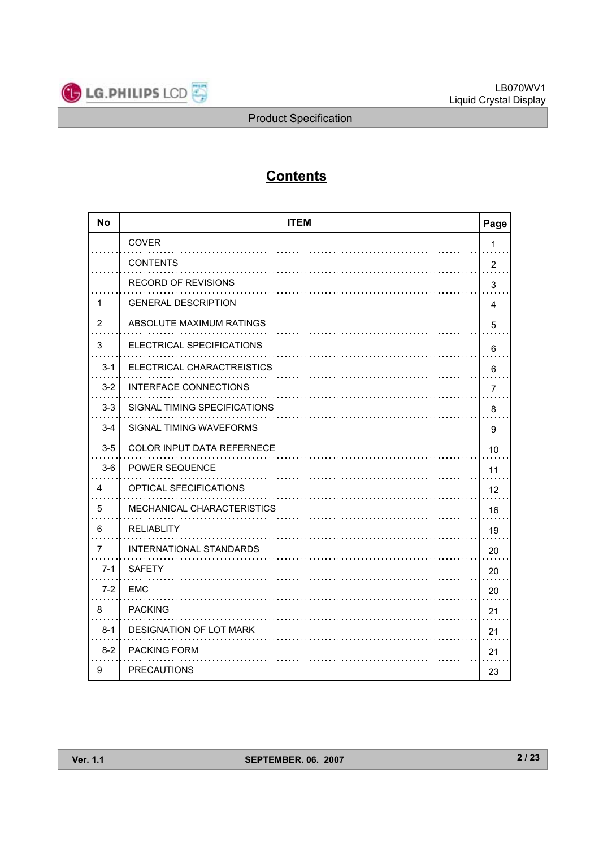

# **Contents**

| <b>No</b>      | <b>ITEM</b>                  | Page           |
|----------------|------------------------------|----------------|
|                | <b>COVER</b>                 | 1              |
|                | <b>CONTENTS</b>              | $\overline{2}$ |
|                | <b>RECORD OF REVISIONS</b>   | 3              |
| 1              | <b>GENERAL DESCRIPTION</b>   | 4              |
| $\overline{2}$ | ABSOLUTE MAXIMUM RATINGS     | 5              |
| 3              | ELECTRICAL SPECIFICATIONS    | 6              |
| $3 - 1$        | ELECTRICAL CHARACTREISTICS   | 6              |
| $3 - 2$        | INTERFACE CONNECTIONS        | 7              |
| $3-3$          | SIGNAL TIMING SPECIFICATIONS | 8              |
| $3 - 4$        | SIGNAL TIMING WAVEFORMS      | 9              |
| $3-5$          | COLOR INPUT DATA REFERNECE   | 10             |
| $3-6$          | <b>POWER SEQUENCE</b>        | 11             |
| 4              | OPTICAL SFECIFICATIONS       | 12             |
| 5              | MECHANICAL CHARACTERISTICS   | 16             |
| 6              | <b>RELIABLITY</b>            | 19             |
| 7              | INTERNATIONAL STANDARDS      | 20             |
| $7 - 1$        | <b>SAFETY</b>                | 20             |
| $7-2$          | <b>EMC</b>                   | 20             |
| 8              | <b>PACKING</b>               | 21             |
| $8 - 1$        | DESIGNATION OF LOT MARK      | 21             |
| $8 - 2$        | <b>PACKING FORM</b>          | 21             |
| 9              | <b>PRECAUTIONS</b>           | 23             |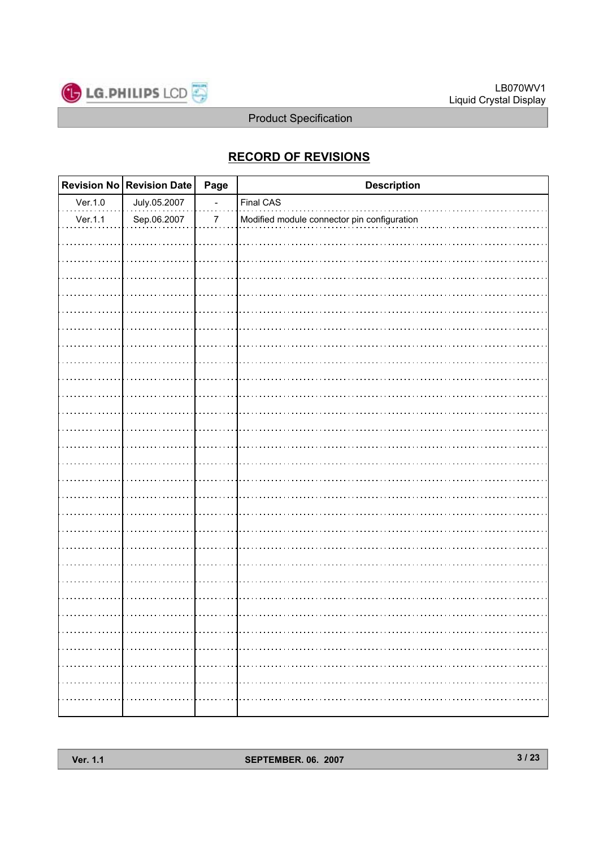

## **RECORD OF REVISIONS**

|         | Revision No Revision Date | Page                     | <b>Description</b>                          |
|---------|---------------------------|--------------------------|---------------------------------------------|
| Ver.1.0 | July.05.2007              | $\overline{\phantom{a}}$ | Final CAS                                   |
| Ver.1.1 | Sep.06.2007               | $\boldsymbol{7}$         | Modified module connector pin configuration |
|         |                           |                          |                                             |
|         |                           |                          |                                             |
|         |                           |                          |                                             |
|         |                           |                          |                                             |
|         |                           |                          |                                             |
|         |                           |                          |                                             |
|         |                           |                          |                                             |
|         |                           |                          |                                             |
|         |                           |                          |                                             |
|         |                           |                          |                                             |
|         |                           |                          |                                             |
|         |                           |                          |                                             |
|         |                           |                          |                                             |
|         |                           |                          |                                             |
|         |                           |                          |                                             |
|         |                           |                          |                                             |
|         |                           |                          |                                             |
|         |                           |                          |                                             |
|         |                           |                          |                                             |
|         |                           |                          |                                             |
|         |                           |                          |                                             |
|         |                           |                          |                                             |
|         |                           |                          |                                             |
|         |                           |                          |                                             |
|         |                           |                          |                                             |
|         |                           |                          | .                                           |
|         |                           | .                        | .                                           |
|         | .                         | .                        |                                             |
|         |                           | .                        |                                             |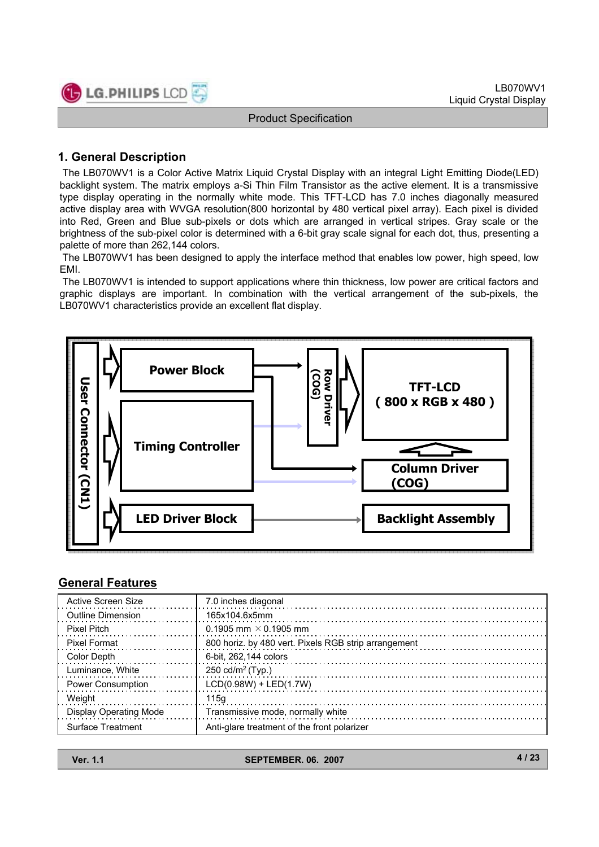

### **1. General Description**

The LB070WV1 is a Color Active Matrix Liquid Crystal Display with an integral Light Emitting Diode(LED) backlight system. The matrix employs a-Si Thin Film Transistor as the active element. It is a transmissive type display operating in the normally white mode. This TFT-LCD has 7.0 inches diagonally measured active display area with WVGA resolution(800 horizontal by 480 vertical pixel array). Each pixel is divided into Red, Green and Blue sub-pixels or dots which are arranged in vertical stripes. Gray scale or the brightness of the sub-pixel color is determined with a 6-bit gray scale signal for each dot, thus, presenting a palette of more than 262,144 colors.

The LB070WV1 has been designed to apply the interface method that enables low power, high speed, low EMI.

The LB070WV1 is intended to support applications where thin thickness, low power are critical factors and graphic displays are important. In combination with the vertical arrangement of the sub-pixels, the LB070WV1 characteristics provide an excellent flat display.



### **General Features**

| Active Screen Size       | 7.0 inches diagonal                                  |
|--------------------------|------------------------------------------------------|
| <b>Outline Dimension</b> | 165x104.6x5mm                                        |
| <b>Pixel Pitch</b>       | 0.1905 mm $\times$ 0.1905 mm                         |
| Pixel Format             | 800 horiz. by 480 vert. Pixels RGB strip arrangement |
| Color Depth              | 6-bit, 262,144 colors                                |
| Luminance, White         | 250 cd/m <sup>2</sup> (Typ.)                         |
| <b>Power Consumption</b> | $LCD(0.98W) + LED(1.7W)$                             |
| Weight                   | 115a                                                 |
| Display Operating Mode   | Transmissive mode, normally white                    |
| Surface Treatment        | Anti-glare treatment of the front polarizer          |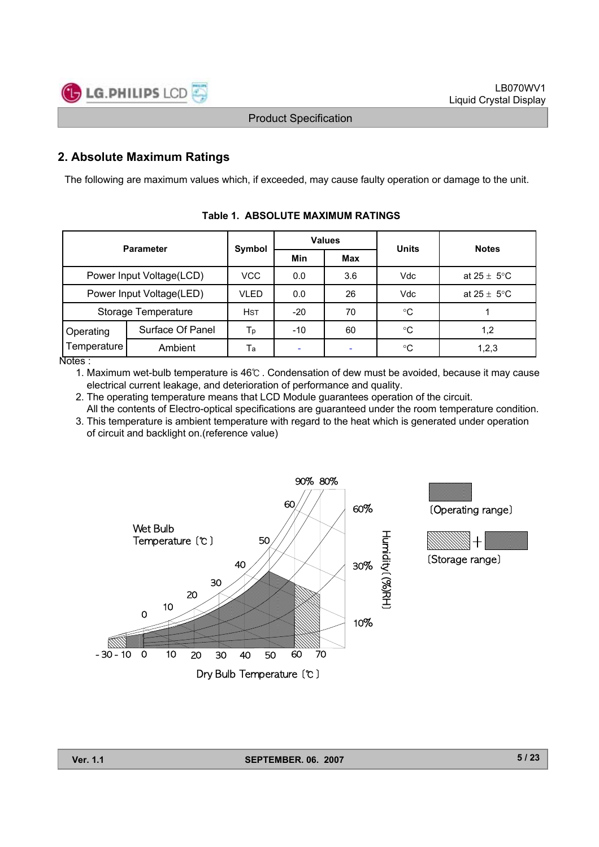

### **2. Absolute Maximum Ratings**

The following are maximum values which, if exceeded, may cause faulty operation or damage to the unit.

| <b>Parameter</b>         |                  |            | <b>Values</b> |            | <b>Units</b>            | <b>Notes</b>            |  |
|--------------------------|------------------|------------|---------------|------------|-------------------------|-------------------------|--|
|                          |                  | Symbol     | Min           | <b>Max</b> |                         |                         |  |
| Power Input Voltage(LCD) | <b>VCC</b>       | 0.0        | 3.6           | Vdc        | at $25 \pm 5^{\circ}$ C |                         |  |
| Power Input Voltage(LED) |                  | VLED       | 0.0           | 26         | Vdc                     | at $25 \pm 5^{\circ}$ C |  |
| Storage Temperature      |                  | <b>HST</b> | $-20$         | 70         | $^{\circ}C$             |                         |  |
| Operating                | Surface Of Panel | Тp         | $-10$         | 60         | $^{\circ}C$             | 1,2                     |  |
| Temperature<br>———       | Ambient          | Тa         |               |            | °C                      | 1, 2, 3                 |  |

**Table 1. ABSOLUTE MAXIMUM RATINGS**

Notes :

1. Maximum wet-bulb temperature is 46℃ . Condensation of dew must be avoided, because it may cause electrical current leakage, and deterioration of performance and quality.

2. The operating temperature means that LCD Module guarantees operation of the circuit.

All the contents of Electro-optical specifications are guaranteed under the room temperature condition. 3. This temperature is ambient temperature with regard to the heat which is generated under operation





**Ver. 1.1** SEPTEMBER. 06. 2007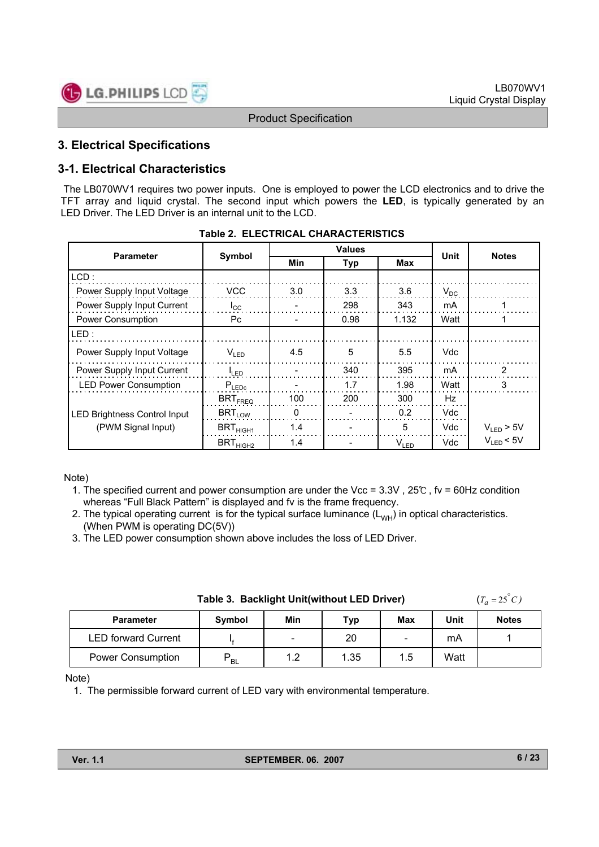

### **3. Electrical Specifications**

### **3-1. Electrical Characteristics**

The LB070WV1 requires two power inputs. One is employed to power the LCD electronics and to drive the TFT array and liquid crystal. The second input which powers the **LED**, is typically generated by an LED Driver. The LED Driver is an internal unit to the LCD.

|                                     |                       |                          | <b>Values</b> |           | <b>Notes</b> |                |
|-------------------------------------|-----------------------|--------------------------|---------------|-----------|--------------|----------------|
| <b>Parameter</b>                    | Symbol                | Min                      | <b>Typ</b>    |           |              |                |
| LCD:                                |                       |                          |               |           |              |                |
| Power Supply Input Voltage          | <b>VCC</b>            | 3.0                      | 3.3           | 3.6       | $V_{DC}$     |                |
| Power Supply Input Current          | $I_{\rm CC}$          |                          | 298           | 343       | mA           |                |
| Power Consumption                   | Pc.                   | $\overline{\phantom{0}}$ | 0.98          | 1.132     | Watt         |                |
| LED:                                |                       |                          |               |           |              |                |
| Power Supply Input Voltage          | $V_{LED}$             | 4.5                      | 5             | 5.5       | Vdc          |                |
| Power Supply Input Current          | $I_{LED}$             |                          | 340           | 395       | mA           | 2              |
| <b>LED Power Consumption</b>        | $P_{LEDC}$            |                          | 1.7           | 1.98      | Watt         | 3              |
|                                     | $BRT$ <sub>FREQ</sub> | 100                      | 200           | 300       | Hz           |                |
| <b>LED Brightness Control Input</b> | $BRT_{LOW}$           | 0                        |               | 0.2       | Vdc          |                |
| (PWM Signal Input)                  | $BRT_{HIGH1}$         | 1.4                      |               | 5         | Vdc          | $V_{LED}$ > 5V |
|                                     | $BRT_{HIGH2}$         | 1.4                      |               | $V_{LED}$ | Vdc          | $V_{LED}$ < 5V |

|  | Table 2. ELECTRICAL CHARACTERISTICS |
|--|-------------------------------------|
|  |                                     |

#### Note)

- 1. The specified current and power consumption are under the Vcc = 3.3V , 25℃ , fv = 60Hz condition whereas "Full Black Pattern" is displayed and fv is the frame frequency.
- 2. The typical operating current is for the typical surface luminance  $(L_{WH})$  in optical characteristics. (When PWM is operating DC(5V))
- 3. The LED power consumption shown above includes the loss of LED Driver.

| Table 3. Backlight Unit(without LED Driver) | $(T_a = 25^\circ C)$ |
|---------------------------------------------|----------------------|
|                                             |                      |

| <b>Parameter</b>           | Symbol    | Min        | Typ  | Max                      | Unit | <b>Notes</b> |
|----------------------------|-----------|------------|------|--------------------------|------|--------------|
| <b>LED forward Current</b> |           | -          | 20   | $\overline{\phantom{0}}$ | mA   |              |
| <b>Power Consumption</b>   | <b>BL</b> | ィっ<br>ے. ا | 1.35 | 1.5                      | Watt |              |

#### Note)

1. The permissible forward current of LED vary with environmental temperature.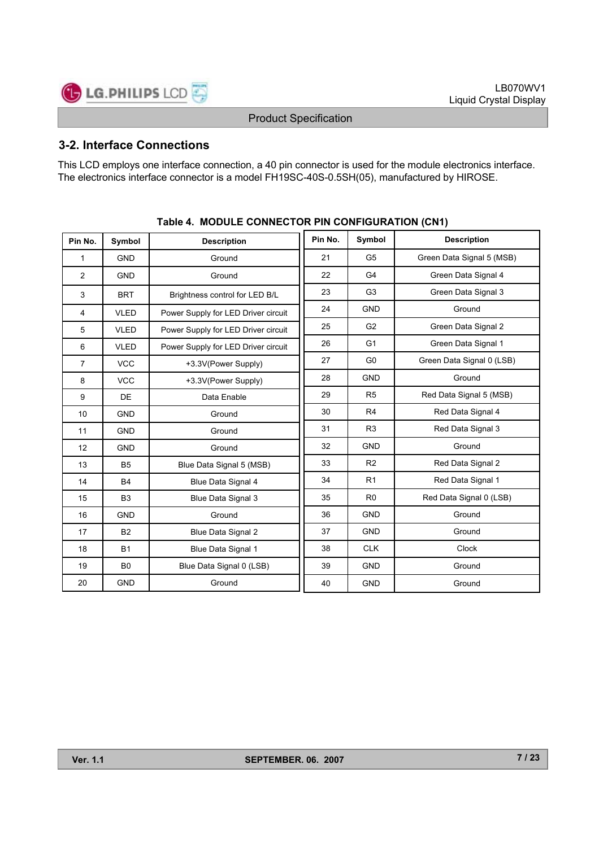

### **3-2. Interface Connections**

This LCD employs one interface connection, a 40 pin connector is used for the module electronics interface. The electronics interface connector is a model FH19SC-40S-0.5SH(05), manufactured by HIROSE.

| Pin No.        | Symbol         | <b>Description</b>                  | Pin No. | Symbol         | <b>Description</b>        |
|----------------|----------------|-------------------------------------|---------|----------------|---------------------------|
| 1              | <b>GND</b>     | Ground                              | 21      | G <sub>5</sub> | Green Data Signal 5 (MSB) |
| 2              | <b>GND</b>     | Ground                              | 22      | G4             | Green Data Signal 4       |
| 3              | <b>BRT</b>     | Brightness control for LED B/L      | 23      | G <sub>3</sub> | Green Data Signal 3       |
| 4              | <b>VLED</b>    | Power Supply for LED Driver circuit | 24      | <b>GND</b>     | Ground                    |
| 5              | <b>VLED</b>    | Power Supply for LED Driver circuit | 25      | G <sub>2</sub> | Green Data Signal 2       |
| 6              | <b>VLED</b>    | Power Supply for LED Driver circuit | 26      | G <sub>1</sub> | Green Data Signal 1       |
| $\overline{7}$ | <b>VCC</b>     | +3.3V(Power Supply)                 | 27      | G <sub>0</sub> | Green Data Signal 0 (LSB) |
| 8              | <b>VCC</b>     | +3.3V(Power Supply)                 | 28      | <b>GND</b>     | Ground                    |
| 9              | <b>DE</b>      | Data Enable                         | 29      | R <sub>5</sub> | Red Data Signal 5 (MSB)   |
| 10             | <b>GND</b>     | Ground                              | 30      | R <sub>4</sub> | Red Data Signal 4         |
| 11             | <b>GND</b>     | Ground                              | 31      | R <sub>3</sub> | Red Data Signal 3         |
| 12             | <b>GND</b>     | Ground                              | 32      | <b>GND</b>     | Ground                    |
| 13             | <b>B5</b>      | Blue Data Signal 5 (MSB)            | 33      | R <sub>2</sub> | Red Data Signal 2         |
| 14             | <b>B4</b>      | Blue Data Signal 4                  | 34      | R <sub>1</sub> | Red Data Signal 1         |
| 15             | B <sub>3</sub> | Blue Data Signal 3                  | 35      | R <sub>0</sub> | Red Data Signal 0 (LSB)   |
| 16             | <b>GND</b>     | Ground                              | 36      | <b>GND</b>     | Ground                    |
| 17             | <b>B2</b>      | Blue Data Signal 2                  | 37      | <b>GND</b>     | Ground                    |
| 18             | <b>B1</b>      | Blue Data Signal 1                  | 38      | <b>CLK</b>     | <b>Clock</b>              |
| 19             | B <sub>0</sub> | Blue Data Signal 0 (LSB)            | 39      | <b>GND</b>     | Ground                    |
| 20             | <b>GND</b>     | Ground                              | 40      | <b>GND</b>     | Ground                    |

#### **Table 4. MODULE CONNECTOR PIN CONFIGURATION (CN1)**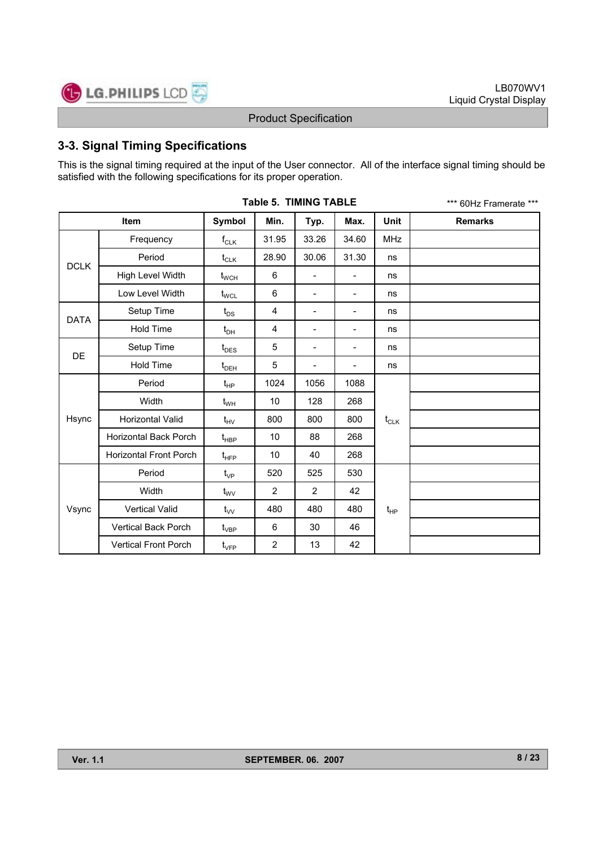

### **3-3. Signal Timing Specifications**

This is the signal timing required at the input of the User connector. All of the interface signal timing should be satisfied with the following specifications for its proper operation.

|             |                               |                                  | <b>Table 5. TIMING TABLE</b> |                          |                          |              | *** 60Hz Framerate *** |
|-------------|-------------------------------|----------------------------------|------------------------------|--------------------------|--------------------------|--------------|------------------------|
|             | <b>Item</b>                   | Symbol                           | Min.                         | Typ.                     | Max.                     | <b>Unit</b>  | <b>Remarks</b>         |
|             | Frequency                     | $f_{CLK}$                        | 31.95                        | 33.26                    | 34.60                    | <b>MHz</b>   |                        |
| DCLK        | Period                        | $t_{CLK}$                        | 28.90                        | 30.06                    | 31.30                    | ns           |                        |
|             | High Level Width              | $t_{\scriptscriptstyle\rm WCH}$  | 6                            |                          |                          | ns           |                        |
|             | Low Level Width               | $\mathfrak{t}_{\text{WCL}}$      | 6                            | $\overline{\phantom{a}}$ | $\overline{\phantom{a}}$ | ns           |                        |
|             | Setup Time                    | $t_{DS}$                         | 4                            | $\overline{\phantom{0}}$ | $\overline{\phantom{a}}$ | ns           |                        |
| <b>DATA</b> | <b>Hold Time</b>              | $t_{\text{DH}}$                  | 4                            | $\overline{\phantom{a}}$ | $\overline{\phantom{a}}$ | ns           |                        |
| DE          | Setup Time                    | $t_{\text{DES}}$                 | 5                            | $\overline{\phantom{a}}$ | $\overline{\phantom{a}}$ | ns           |                        |
|             | <b>Hold Time</b>              | $t_{DEH}$                        | 5                            | $\overline{\phantom{a}}$ | $\overline{\phantom{a}}$ | ns           |                        |
|             | Period                        | $t_{HP}$                         | 1024                         | 1056                     | 1088                     |              |                        |
|             | Width                         | $t_{WH}$                         | 10                           | 128                      | 268                      |              |                        |
| Hsync       | Horizontal Valid              | $t_{HV}$                         | 800                          | 800                      | 800                      | $t_{CLK}$    |                        |
|             | Horizontal Back Porch         | $t_{\sf HBP}$                    | 10                           | 88                       | 268                      |              |                        |
|             | <b>Horizontal Front Porch</b> | $t_{\scriptscriptstyle \rm HFP}$ | 10                           | 40                       | 268                      |              |                        |
|             | Period                        | $t_{VP}$                         | 520                          | 525                      | 530                      |              |                        |
|             | Width                         | $t_{\text{WV}}$                  | $\overline{2}$               | $\overline{2}$           | 42                       |              |                        |
| Vsync       | <b>Vertical Valid</b>         | $t_{VV}$                         | 480                          | 480                      | 480                      | $t_{\sf HP}$ |                        |
|             | Vertical Back Porch           | $t_{\rm VBP}$                    | 6                            | 30                       | 46                       |              |                        |
|             | <b>Vertical Front Porch</b>   | $t_{\scriptscriptstyle\rm VFP}$  | $\overline{2}$               | 13                       | 42                       |              |                        |

**Table 5. TIMING TABLE**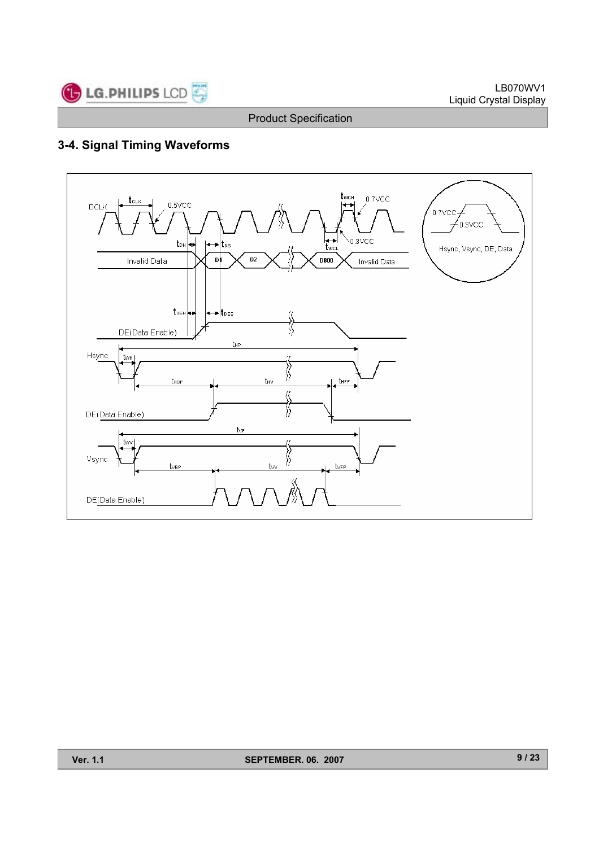

# **3-4. Signal Timing Waveforms**

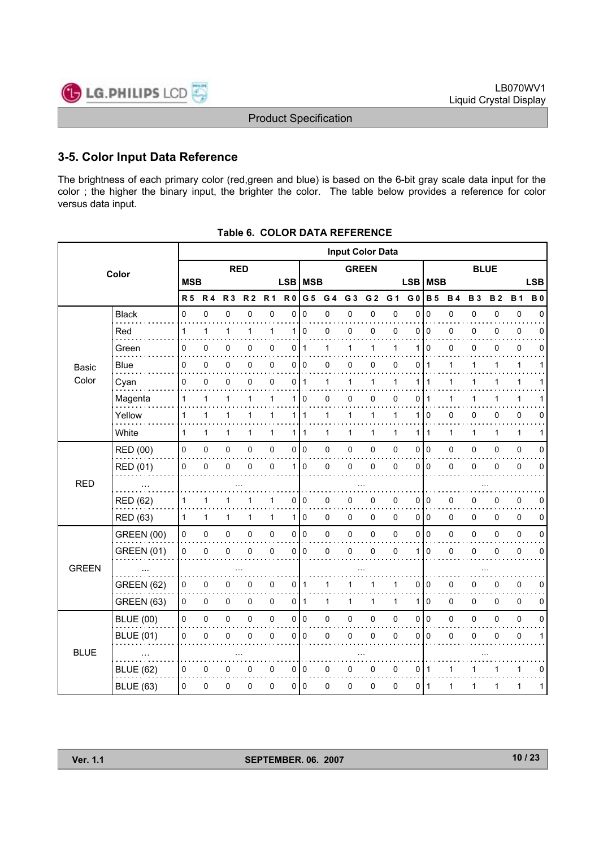

### **3-5. Color Input Data Reference**

The brightness of each primary color (red,green and blue) is based on the 6-bit gray scale data input for the color ; the higher the binary input, the brighter the color. The table below provides a reference for color versus data input.

|              |                   |              |              |              |                |                |                |                 |                | <b>Input Color Data</b> |                |           |                |                |              |             |           |              |             |
|--------------|-------------------|--------------|--------------|--------------|----------------|----------------|----------------|-----------------|----------------|-------------------------|----------------|-----------|----------------|----------------|--------------|-------------|-----------|--------------|-------------|
|              | Color             |              |              | <b>RED</b>   |                |                |                |                 |                | <b>GREEN</b>            |                |           |                |                |              | <b>BLUE</b> |           |              |             |
|              |                   | <b>MSB</b>   |              |              |                |                |                | LSB   MSB       |                |                         |                |           | <b>LSB</b>     | <b>MSB</b>     |              |             |           |              | <b>LSB</b>  |
|              |                   | <b>R5 R4</b> |              | <b>R3</b>    | R <sub>2</sub> | R <sub>1</sub> | R <sub>0</sub> | G 5             | G <sub>4</sub> | G <sub>3</sub>          | G <sub>2</sub> | G 1       | G <sub>0</sub> | <b>B</b> 5     | <b>B4</b>    | <b>B3</b>   | <b>B2</b> | <b>B1</b>    | <b>B0</b>   |
|              | <b>Black</b>      | $\Omega$     | 0            | 0            | $\mathbf 0$    | $\pmb{0}$      | $\Omega$       | $\Omega$        | 0              | 0                       | 0              | $\pmb{0}$ | $\Omega$       | $\mathbf 0$    | 0            | 0           | 0         | $\pmb{0}$    | $\Omega$    |
|              | Red               | $\mathbf{1}$ | 1            | 1            | 1              | 1              | 1              | $\mathbf 0$     | 0              | $\mathbf 0$             | 0              | 0         | 0              | $\mathbf 0$    | 0            | 0           | 0         | $\pmb{0}$    | 0           |
|              | Green             | 0            | $\mathbf 0$  | 0            | 0              | $\mathbf 0$    | 0              | $\mathbf 1$     | 1              | 1                       | 1              | 1         | 1              | $\Omega$       | 0            | 0           | 0         | $\mathbf 0$  | $\Omega$    |
| Basic        | Blue              | 0            | 0            | 0            | 0              | 0              |                | 0 0             | 0              | 0                       | 0              | 0         | 0              | $\mathbf{1}$   | 1            | 1           | 1         | 1            | 1           |
| Color        | Cyan              | 0            | 0            | 0            | 0              | $\mathbf 0$    | 0              | $\mathbf{1}$    | 1              | 1                       | 1              | 1         | 1              | 1              | 1            | 1           | 1         | 1            |             |
|              | Magenta           | 1            | 1            | 1            | 1              | $\mathbf{1}$   | 1              | $\mathbf 0$     | 0              | 0                       | 0              | 0         | 0              | 1              | 1            | 1           | 1         | 1            |             |
|              | Yellow            | $\mathbf{1}$ | $\mathbf{1}$ | 1            | 1              | $\mathbf{1}$   |                | 111             | $\mathbf{1}$   | 1                       | 1              | 1         | 1              | $\mathbf 0$    | 0            | 0           | 0         | $\mathbf 0$  | 0           |
|              | White             | $\mathbf{1}$ | $\mathbf{1}$ | $\mathbf{1}$ | 1              | $\mathbf{1}$   |                | 1   1           | 1              | 1                       | $\mathbf{1}$   | 1         | 1              | $\mathbf{1}$   | $\mathbf{1}$ | 1           | 1         | $\mathbf{1}$ | 1           |
|              | <b>RED (00)</b>   | 0            | 0            | 0            | 0              | $\pmb{0}$      |                | 0 <sup>10</sup> | 0              | 0                       | 0              | 0         | 0              | I٥             | 0            | $\Omega$    | 0         | $\pmb{0}$    | $\Omega$    |
|              | <b>RED (01)</b>   | 0            | $\mathbf 0$  | 0            | 0              | 0              | 1 <sup>1</sup> | $\Omega$        | 0              | 0                       | 0              | 0         | 0              | $\Omega$       | 0            | 0           | 0         | 0            | $\Omega$    |
| <b>RED</b>   |                   |              |              |              |                |                |                |                 |                |                         |                |           |                |                |              |             |           |              |             |
|              | <b>RED (62)</b>   | 1            | 1            | 1            |                | 1              | 0              | 0               | 0              | 0                       | 0              | 0         | 0              | 0              | 0            | 0           | 0         | $\mathbf 0$  | 0           |
|              | <b>RED (63)</b>   | $\mathbf{1}$ | $\mathbf{1}$ | 1            | 1              | $\mathbf{1}$   |                | 110             | 0              | 0                       | 0              | 0         | 0              | I٥             | 0            | 0           | 0         | $\mathbf 0$  | 0           |
|              | <b>GREEN (00)</b> | 0            | 0            | $\mathsf 0$  | 0              | $\pmb{0}$      |                | 0 0             | 0              | $\pmb{0}$               | $\mathsf 0$    | 0         | 0              | I٥             | 0            | 0           | 0         | $\pmb{0}$    | 0           |
|              | <b>GREEN (01)</b> | 0            | $\mathbf 0$  | 0            | 0              | $\mathbf 0$    | $\overline{0}$ | $\Omega$        | 0              | 0                       | 0              | 0         | 1              | $\mathbf 0$    | 0            | 0           | 0         | $\mathbf 0$  | $\mathbf 0$ |
| <b>GREEN</b> |                   |              |              |              |                |                |                |                 |                |                         |                |           |                |                |              |             |           |              |             |
|              | <b>GREEN (62)</b> | 0            | 0            | 0            | 0              | 0              | $\overline{0}$ | $\mathbf{1}$    | 1              | 1                       | 1              | 1         | 0              | 0              | 0            | 0           | 0         | $\mathbf 0$  | 0           |
|              | <b>GREEN (63)</b> | 0            | 0            | $\pmb{0}$    | 0              | 0              |                | $0$   1         | 1              | 1                       | 1              | 1         | 1              | $\mathbf 0$    | 0            | 0           | 0         | $\mathbf 0$  | 0           |
|              | <b>BLUE (00)</b>  | 0            | 0            | $\mathsf 0$  | 0              | $\pmb{0}$      |                | 0 0             | 0              | 0                       | $\mathsf 0$    | 0         | 0              | $\overline{0}$ | 0            | 0           | 0         | $\pmb{0}$    | 0           |
|              | <b>BLUE (01)</b>  | 0            | $\mathbf 0$  | 0            | 0              | $\mathbf 0$    | $\overline{0}$ | $\mathbf 0$     | 0              | 0                       | 0              | 0         | 0              | 0              | 0            | 0           | 0         | $\mathbf 0$  | 1           |
| <b>BLUE</b>  |                   |              |              |              |                |                |                |                 |                |                         |                |           |                |                |              |             |           |              |             |
|              | <b>BLUE (62)</b>  | 0            | 0            | 0            | 0              | $\mathbf 0$    |                | 010             | 0              | 0                       | 0              | 0         | 0              | -1             | 1            |             |           | 1            | 0           |
|              | <b>BLUE (63)</b>  | 0            | 0            | 0            | 0              | 0              |                | 0 <sup>10</sup> | 0              | $\mathbf 0$             | 0              | 0         | 0              | ∣ 1            | 1            | 1           | 1         | 1            | 1           |

| Table 6.  COLOR DATA REFERENCE |
|--------------------------------|
|                                |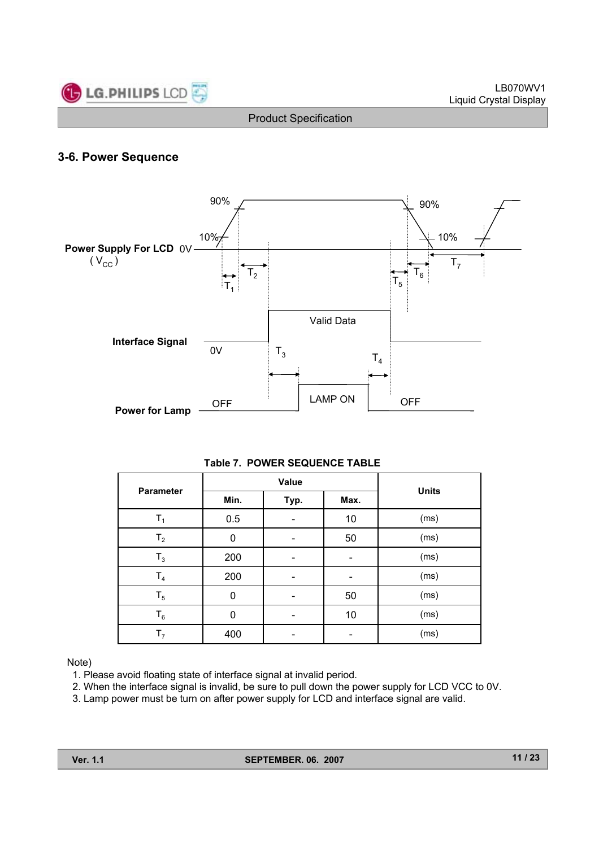

### **3-6. Power Sequence**



#### **Table 7. POWER SEQUENCE TABLE**

| <b>Parameter</b> |      | Value |      |              |
|------------------|------|-------|------|--------------|
|                  | Min. | Typ.  | Max. | <b>Units</b> |
| T <sub>1</sub>   | 0.5  |       | 10   | (ms)         |
| T <sub>2</sub>   | 0    |       | 50   | (ms)         |
| $T_3$            | 200  |       |      | (ms)         |
| T <sub>4</sub>   | 200  | -     |      | (ms)         |
| $T_5$            | 0    |       | 50   | (ms)         |
| $T_6$            | 0    |       | 10   | (ms)         |
| T <sub>7</sub>   | 400  |       |      | (ms)         |

#### Note)

- 1. Please avoid floating state of interface signal at invalid period.
- 2. When the interface signal is invalid, be sure to pull down the power supply for LCD VCC to 0V.
- 3. Lamp power must be turn on after power supply for LCD and interface signal are valid.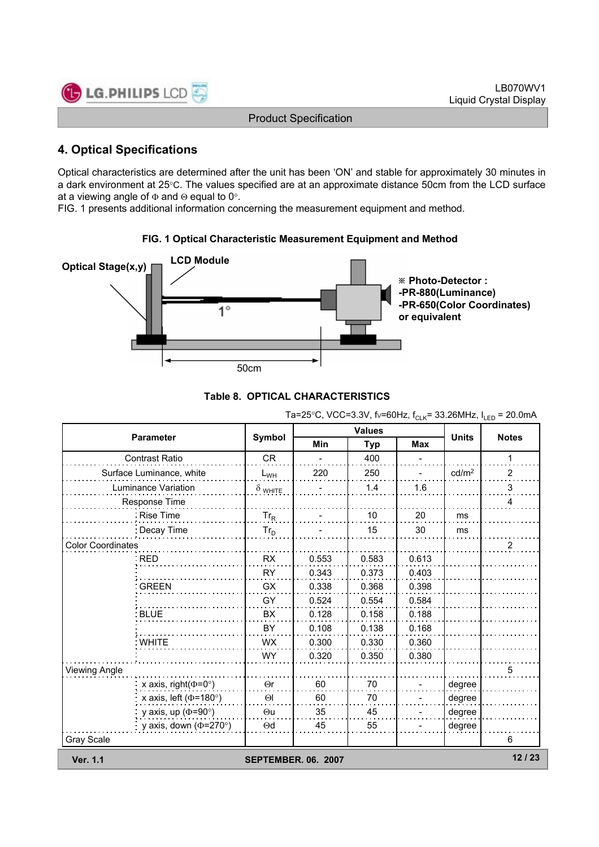

### **4. Optical Specifications**

Optical characteristics are determined after the unit has been 'ON' and stable for approximately 30 minutes in a dark environment at 25°C. The values specified are at an approximate distance 50cm from the LCD surface at a viewing angle of  $\Phi$  and  $\Theta$  equal to 0°.

FIG. 1 presents additional information concerning the measurement equipment and method.



### **FIG. 1 Optical Characteristic Measurement Equipment and Method**



|                              |                            |                          | <b>Values</b> |       |                   |                |  |
|------------------------------|----------------------------|--------------------------|---------------|-------|-------------------|----------------|--|
| <b>Parameter</b>             | Symbol                     | <b>Min</b><br><b>Typ</b> |               | Max   | <b>Units</b>      | <b>Notes</b>   |  |
| <b>Contrast Ratio</b>        | <b>CR</b>                  |                          | 400           |       |                   | 1              |  |
| Surface Luminance, white     | $L_{WH}$                   | 220                      | 250           |       | cd/m <sup>2</sup> | 2              |  |
| Luminance Variation          | $\delta$ white             |                          | 1.4           | 1.6   |                   | 3              |  |
| Response Time                |                            |                          |               |       |                   | 4              |  |
| Rise Time                    | $Tr_R$                     |                          | 10            | 20    | ms                |                |  |
| : Decay Time                 | $Tr_D$                     |                          | 15            | 30    | ms                |                |  |
| <b>Color Coordinates</b>     |                            |                          |               |       |                   | $\overline{2}$ |  |
| ∶RED                         | <b>RX</b>                  | 0.553                    | 0.583         | 0.613 |                   |                |  |
|                              | <b>RY</b>                  | 0.343                    | 0.373         | 0.403 |                   |                |  |
| <b>GREEN</b>                 | GX                         | 0.338                    | 0.368         | 0.398 |                   |                |  |
|                              | GY                         | 0.524                    | 0.554         | 0.584 |                   |                |  |
| <b>BLUE</b>                  | BX                         | 0.128                    | 0.158         | 0.188 |                   |                |  |
|                              | BY                         | 0.108                    | 0.138         | 0.168 |                   |                |  |
| : WHITE                      | <b>WX</b>                  | 0.300                    | 0.330         | 0.360 |                   |                |  |
|                              | <b>WY</b>                  | 0.320                    | 0.350         | 0.380 |                   |                |  |
| <b>Viewing Angle</b>         |                            |                          |               |       |                   | 5              |  |
| x axis, right( $\Phi$ =0°)   | $\Theta$ r                 | 60                       | 70            |       | degree            |                |  |
| x axis, left ( $\Phi$ =180°) | $\Theta$                   | 60                       | 70            |       | degree            |                |  |
| y axis, up ( $\Phi$ =90°)    | $\Theta$ u                 | 35                       | 45            |       | degree            |                |  |
| y axis, down ( $\Phi$ =270°) | $\Theta$ d                 | 45                       | 55            |       | degree            |                |  |
| Gray Scale                   |                            |                          |               |       |                   | 6              |  |
| <b>Ver. 1.1</b>              | <b>SEPTEMBER, 06, 2007</b> |                          |               |       |                   | 12/23          |  |

### $Ta = 25\degree C$ ,  $VCC = 3.3V$ ,  $f_C = 60Hz$ ,  $f_C = 33.26MHz$ ,  $L_C = 20.0mA$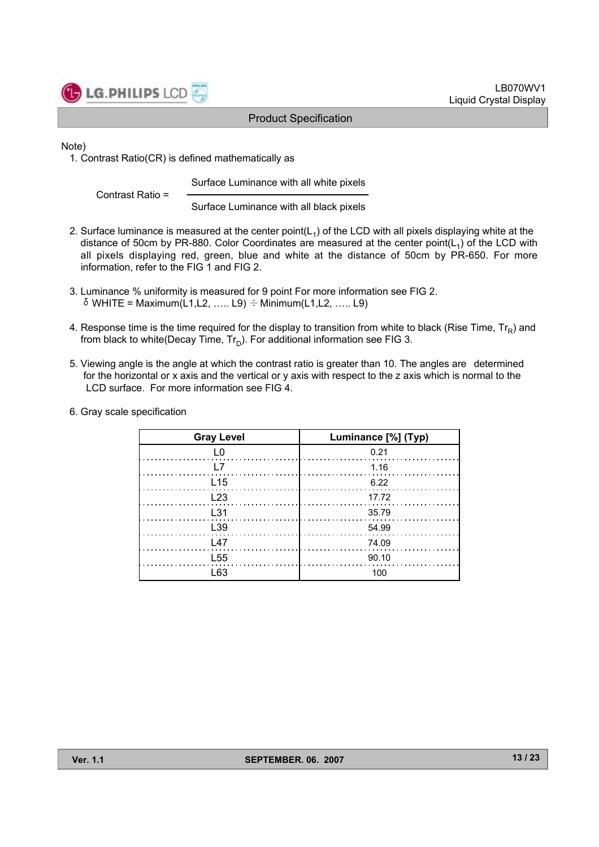

Note)

1. Contrast Ratio(CR) is defined mathematically as

Surface Luminance with all white pixels

Contrast Ratio =

Surface Luminance with all black pixels

- 2. Surface luminance is measured at the center point( $L_1$ ) of the LCD with all pixels displaying white at the distance of 50cm by PR-880. Color Coordinates are measured at the center point( $L_1$ ) of the LCD with all pixels displaying red, green, blue and white at the distance of 50cm by PR-650. For more information, refer to the FIG 1 and FIG 2.
- 3. Luminance % uniformity is measured for 9 point For more information see FIG 2. δWHITE = Maximum(L1,L2, ….. L9) ÷Minimum(L1,L2, ….. L9)
- 4. Response time is the time required for the display to transition from white to black (Rise Time,  $Tr_R$ ) and from black to white(Decay Time,  $Tr_D$ ). For additional information see FIG 3.
- 5. Viewing angle is the angle at which the contrast ratio is greater than 10. The angles are determined for the horizontal or x axis and the vertical or y axis with respect to the z axis which is normal to the LCD surface. For more information see FIG 4.
- 6. Gray scale specification

| <b>Gray Level</b>                 | Luminance [%] (Typ)                                             |
|-----------------------------------|-----------------------------------------------------------------|
| L0                                | $\begin{array}{ccc}\n & 0.21 \\ \hline\n\end{array}$            |
|                                   | - 1.16                                                          |
| $\frac{L15}{L15}$                 | 6.22                                                            |
| $\ldots \ldots \ldots \ldots$ L23 |                                                                 |
| $\ldots$ . $L31$                  | 35.79                                                           |
| $\frac{L39}{2}$                   | .                                                               |
| $\sqrt{47}$                       | $\begin{array}{ c c c }\n\hline\n&14.09 \\ \hline\n\end{array}$ |
| L <sub>55</sub>                   | 90.10                                                           |
| l 63                              | 100                                                             |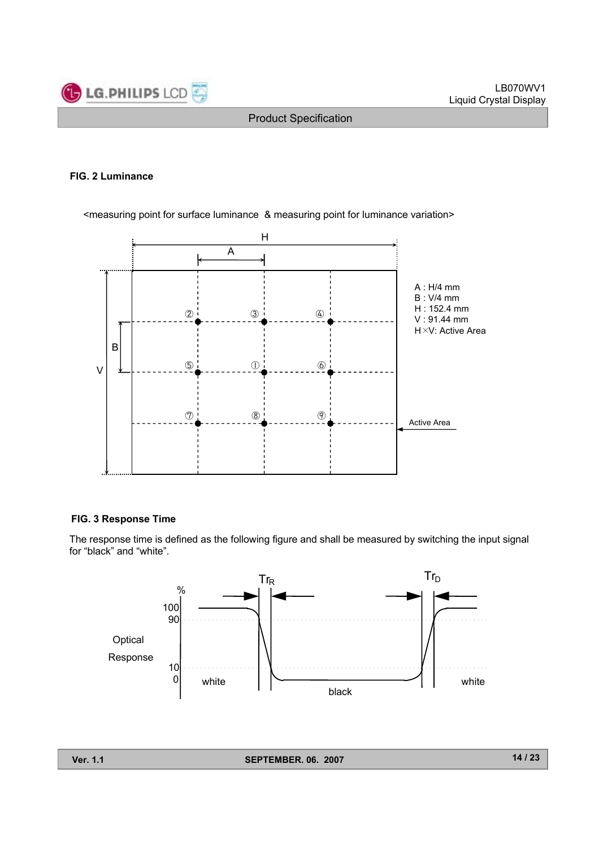

#### **FIG. 2 Luminance**

<measuring point for surface luminance & measuring point for luminance variation>



#### **FIG. 3 Response Time**

The response time is defined as the following figure and shall be measured by switching the input signal for "black" and "white".

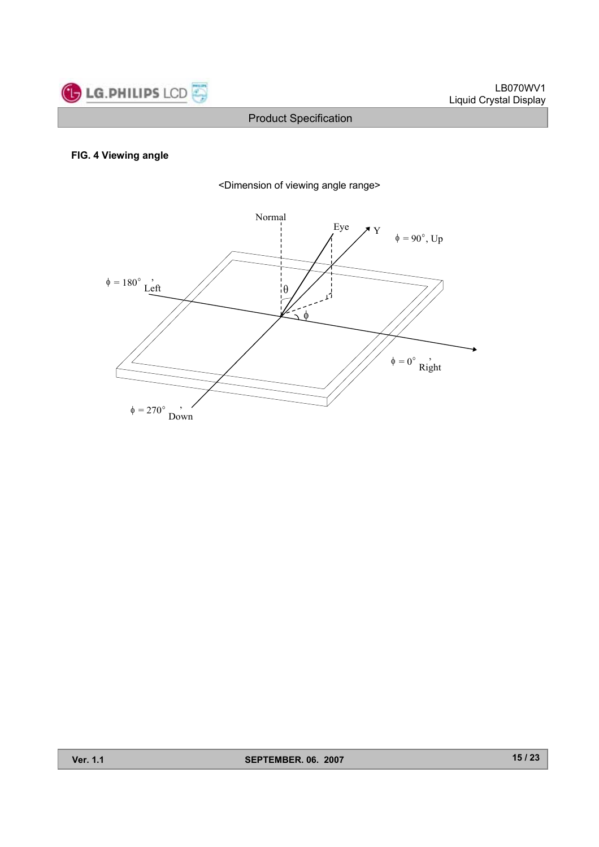

#### **FIG. 4 Viewing angle**



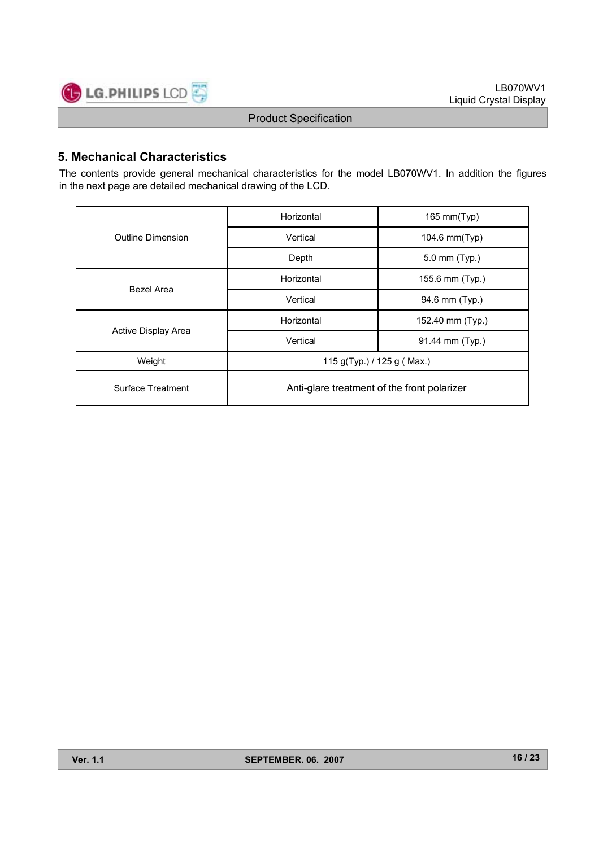

### **5. Mechanical Characteristics**

The contents provide general mechanical characteristics for the model LB070WV1. In addition the figures in the next page are detailed mechanical drawing of the LCD.

|                                                                         | Horizontal                                  | 165 mm(Typ)      |  |  |  |  |
|-------------------------------------------------------------------------|---------------------------------------------|------------------|--|--|--|--|
| <b>Outline Dimension</b><br>Bezel Area<br>Active Display Area<br>Weight | Vertical                                    | 104.6 mm(Typ)    |  |  |  |  |
|                                                                         | Depth                                       | 5.0 mm (Typ.)    |  |  |  |  |
|                                                                         | Horizontal                                  | 155.6 mm (Typ.)  |  |  |  |  |
|                                                                         | Vertical                                    | 94.6 mm (Typ.)   |  |  |  |  |
|                                                                         | Horizontal                                  | 152.40 mm (Typ.) |  |  |  |  |
|                                                                         | Vertical                                    | 91.44 mm (Typ.)  |  |  |  |  |
|                                                                         | 115 g(Typ.) / 125 g (Max.)                  |                  |  |  |  |  |
| Surface Treatment                                                       | Anti-glare treatment of the front polarizer |                  |  |  |  |  |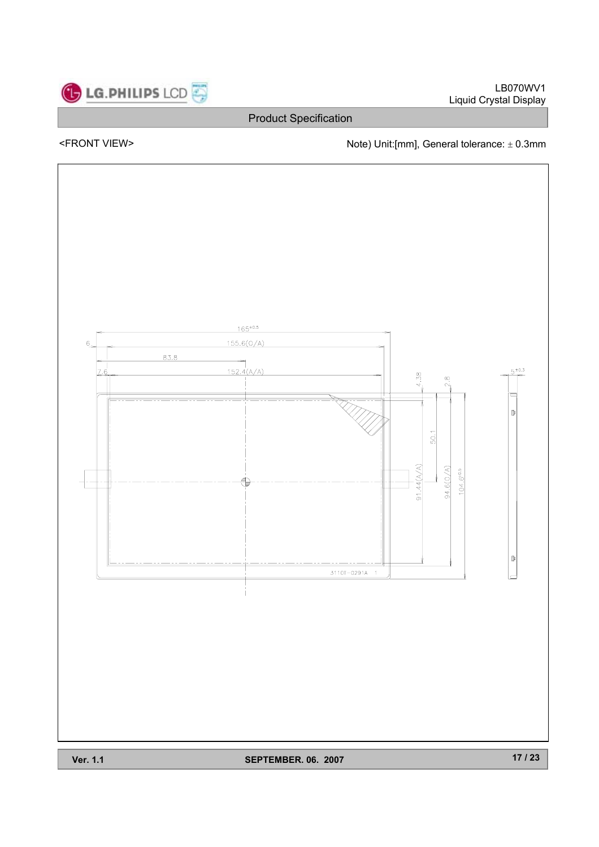

LB070WV1 Liquid Crystal Display

Product Specification

<FRONT VIEW>  $\blacksquare$  Note) Unit:[mm], General tolerance:  $\pm$  0.3mm



**Ver. 1.1** SEPTEMBER. 06. 2007

**17 / 23**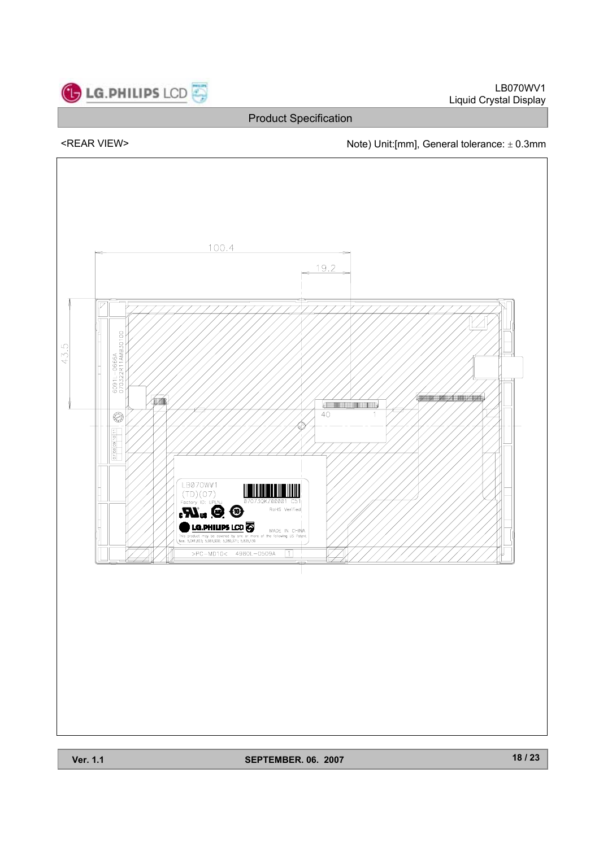

LB070WV1 Liquid Crystal Display

Product Specification

<REAR VIEW> Note) Unit:[mm], General tolerance:  $\pm$  0.3mm



**Ver. 1.1** SEPTEMBER. 06. 2007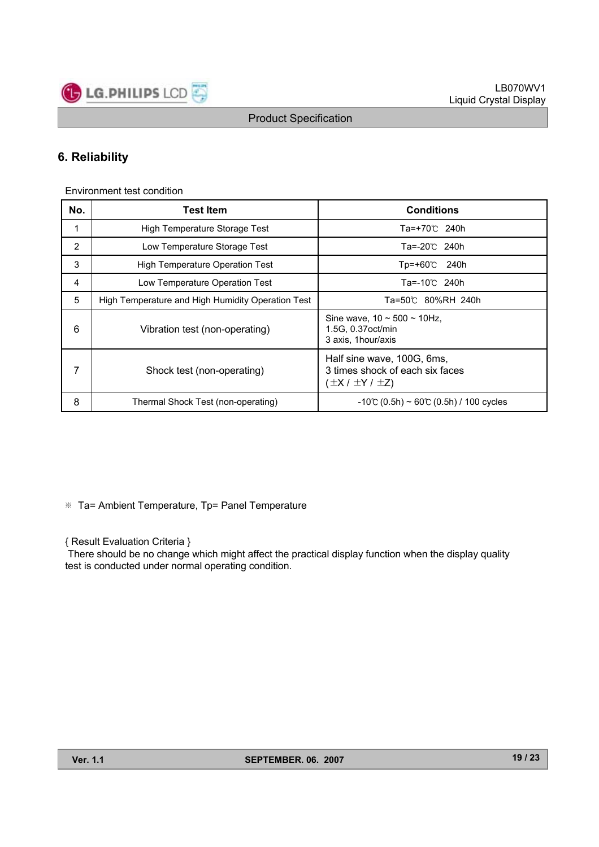

### **6. Reliability**

Environment test condition

| No. | <b>Test Item</b>                                  | <b>Conditions</b>                                                                          |
|-----|---------------------------------------------------|--------------------------------------------------------------------------------------------|
| 1   | High Temperature Storage Test                     | Ta=+70℃ 240h                                                                               |
| 2   | Low Temperature Storage Test                      | Ta=-20℃ 240h                                                                               |
| 3   | High Temperature Operation Test                   | $Top=+60$ °C<br>240h                                                                       |
| 4   | Low Temperature Operation Test                    | Ta=-10℃ 240h                                                                               |
| 5   | High Temperature and High Humidity Operation Test | Ta=50℃ 80%RH 240h                                                                          |
| 6   | Vibration test (non-operating)                    | Sine wave, $10 \sim 500 \sim 10$ Hz,<br>1.5G, 0.37 oct/min<br>3 axis, 1 hour/axis          |
| 7   | Shock test (non-operating)                        | Half sine wave, 100G, 6ms,<br>3 times shock of each six faces<br>$(\pm X / \pm Y / \pm Z)$ |
| 8   | Thermal Shock Test (non-operating)                | $-10^{\circ}$ (0.5h) ~ 60 $\circ$ (0.5h) / 100 cycles                                      |

※ Ta= Ambient Temperature, Tp= Panel Temperature

{ Result Evaluation Criteria }

There should be no change which might affect the practical display function when the display quality test is conducted under normal operating condition.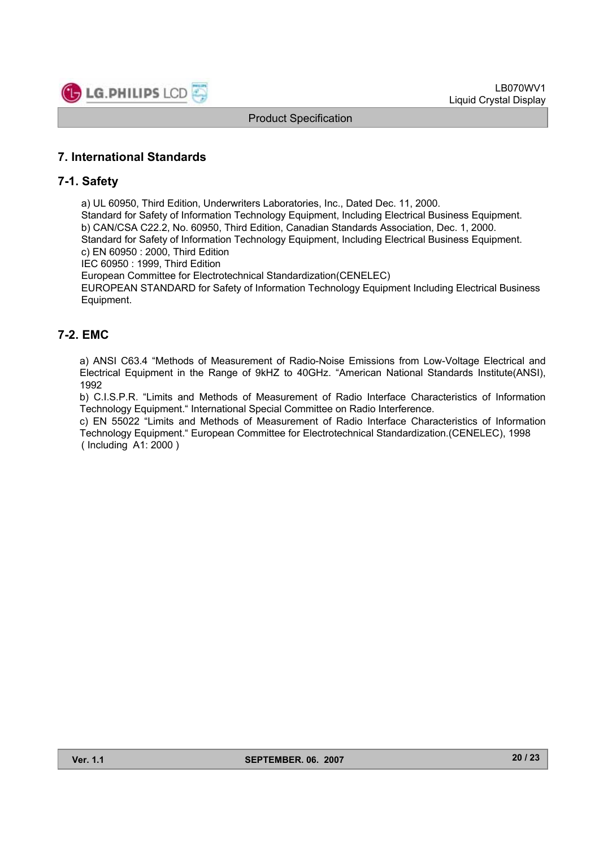

### **7. International Standards**

#### **7-1. Safety**

a) UL 60950, Third Edition, Underwriters Laboratories, Inc., Dated Dec. 11, 2000.

Standard for Safety of Information Technology Equipment, Including Electrical Business Equipment. b) CAN/CSA C22.2, No. 60950, Third Edition, Canadian Standards Association, Dec. 1, 2000. Standard for Safety of Information Technology Equipment, Including Electrical Business Equipment. c) EN 60950 : 2000, Third Edition

IEC 60950 : 1999, Third Edition

European Committee for Electrotechnical Standardization(CENELEC)

EUROPEAN STANDARD for Safety of Information Technology Equipment Including Electrical Business Equipment.

### **7-2. EMC**

a) ANSI C63.4 "Methods of Measurement of Radio-Noise Emissions from Low-Voltage Electrical and Electrical Equipment in the Range of 9kHZ to 40GHz. "American National Standards Institute(ANSI), 1992

b) C.I.S.P.R. "Limits and Methods of Measurement of Radio Interface Characteristics of Information Technology Equipment." International Special Committee on Radio Interference.

c) EN 55022 "Limits and Methods of Measurement of Radio Interface Characteristics of Information Technology Equipment." European Committee for Electrotechnical Standardization.(CENELEC), 1998 ( Including A1: 2000 )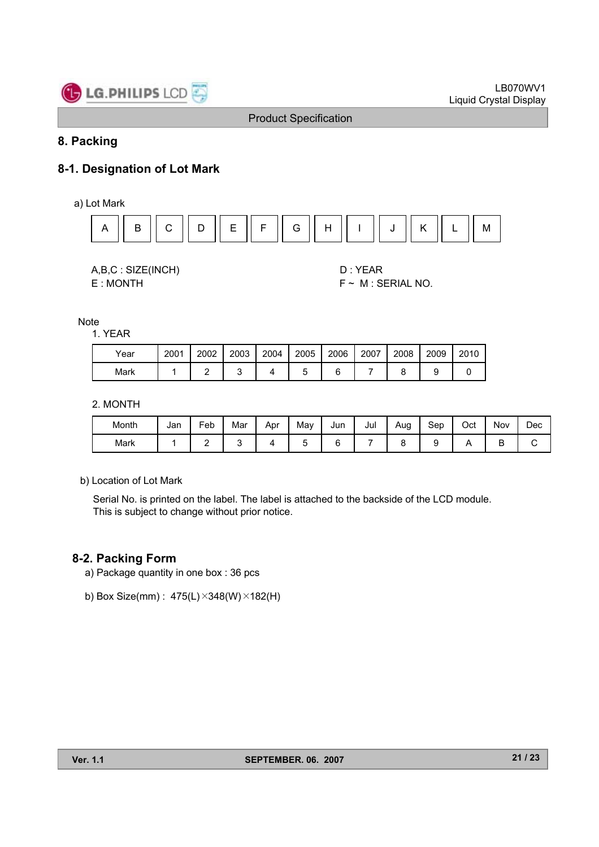

### **8. Packing**

### **8-1. Designation of Lot Mark**

a) Lot Mark



A,B,C : SIZE(INCH) D : YEAR

E : MONTH F ~ M : SERIAL NO.

**Note** 

#### 1. YEAR

| Year | 2001 | 2002 | 2003 | 2004 | 2005 | 2006 | 2007 | 2008 | 2009 | 2010 |
|------|------|------|------|------|------|------|------|------|------|------|
| Mark |      | -    |      |      |      |      |      |      |      |      |

2. MONTH

| Month | Jan | Feb | Mar | Apr | Mav | Jun | Jul | Aug | Sep | Oct | Nov | Dec |
|-------|-----|-----|-----|-----|-----|-----|-----|-----|-----|-----|-----|-----|
| Mark  |     |     |     |     |     |     |     |     |     |     | −   |     |

b) Location of Lot Mark

Serial No. is printed on the label. The label is attached to the backside of the LCD module. This is subject to change without prior notice.

### **8-2. Packing Form**

- a) Package quantity in one box : 36 pcs
- b) Box Size(mm) : 475(L)×348(W)×182(H)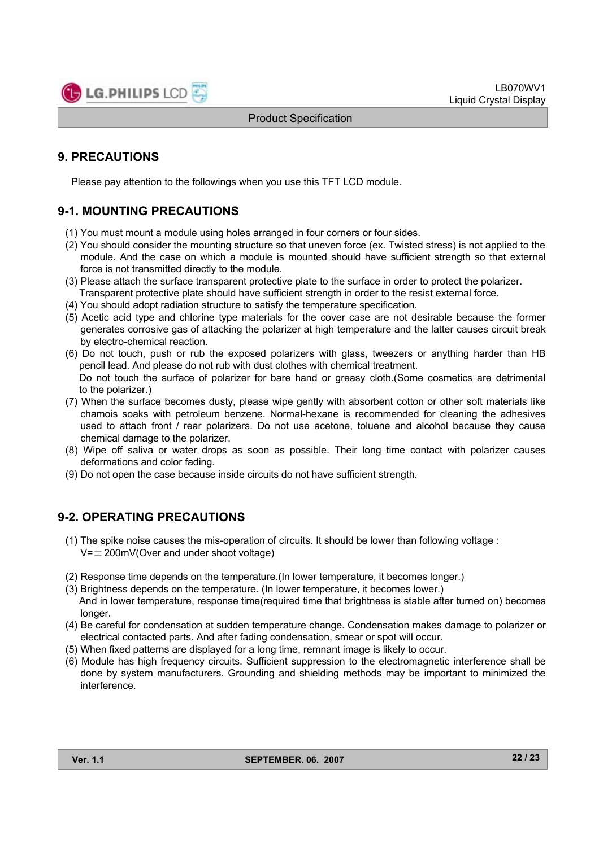

### **9. PRECAUTIONS**

Please pay attention to the followings when you use this TFT LCD module.

### **9-1. MOUNTING PRECAUTIONS**

- (1) You must mount a module using holes arranged in four corners or four sides.
- (2) You should consider the mounting structure so that uneven force (ex. Twisted stress) is not applied to the module. And the case on which a module is mounted should have sufficient strength so that external force is not transmitted directly to the module.
- (3) Please attach the surface transparent protective plate to the surface in order to protect the polarizer. Transparent protective plate should have sufficient strength in order to the resist external force.
- (4) You should adopt radiation structure to satisfy the temperature specification.
- (5) Acetic acid type and chlorine type materials for the cover case are not desirable because the former generates corrosive gas of attacking the polarizer at high temperature and the latter causes circuit break by electro-chemical reaction.
- (6) Do not touch, push or rub the exposed polarizers with glass, tweezers or anything harder than HB pencil lead. And please do not rub with dust clothes with chemical treatment. Do not touch the surface of polarizer for bare hand or greasy cloth.(Some cosmetics are detrimental
- to the polarizer.) (7) When the surface becomes dusty, please wipe gently with absorbent cotton or other soft materials like
- chamois soaks with petroleum benzene. Normal-hexane is recommended for cleaning the adhesives used to attach front / rear polarizers. Do not use acetone, toluene and alcohol because they cause chemical damage to the polarizer.
- (8) Wipe off saliva or water drops as soon as possible. Their long time contact with polarizer causes deformations and color fading.
- (9) Do not open the case because inside circuits do not have sufficient strength.

### **9-2. OPERATING PRECAUTIONS**

- (1) The spike noise causes the mis-operation of circuits. It should be lower than following voltage :  $V=\pm 200$ mV(Over and under shoot voltage)
- (2) Response time depends on the temperature.(In lower temperature, it becomes longer.)
- (3) Brightness depends on the temperature. (In lower temperature, it becomes lower.) And in lower temperature, response time(required time that brightness is stable after turned on) becomes longer.
- (4) Be careful for condensation at sudden temperature change. Condensation makes damage to polarizer or electrical contacted parts. And after fading condensation, smear or spot will occur.
- (5) When fixed patterns are displayed for a long time, remnant image is likely to occur.
- (6) Module has high frequency circuits. Sufficient suppression to the electromagnetic interference shall be done by system manufacturers. Grounding and shielding methods may be important to minimized the interference.